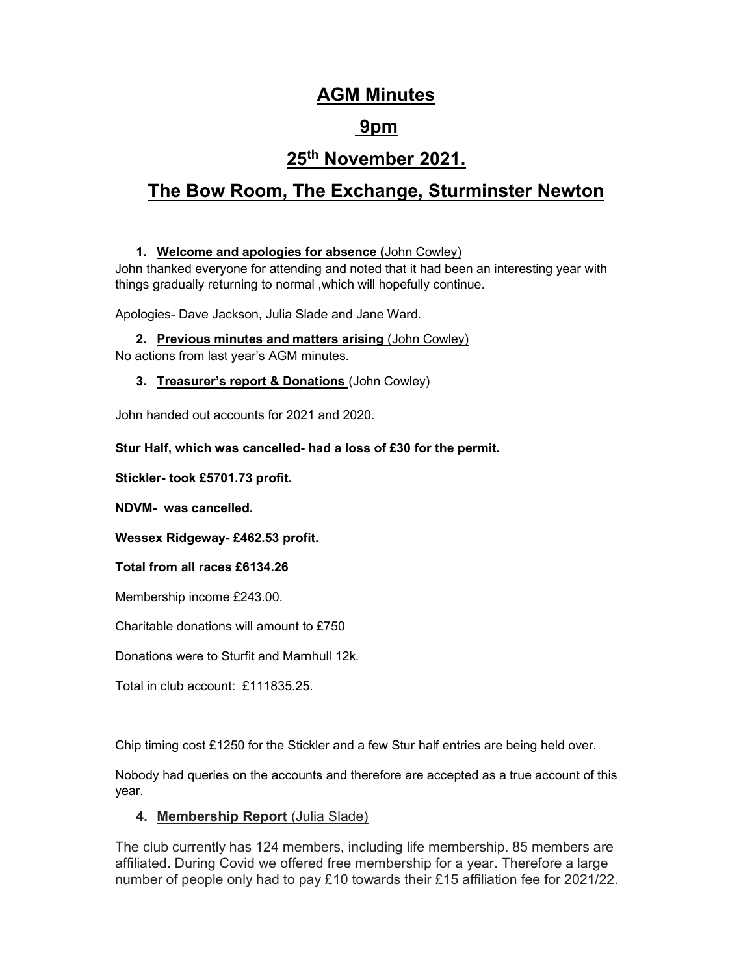## AGM Minutes

## 9pm

# 25th November 2021.

# The Bow Room, The Exchange, Sturminster Newton

## 1. Welcome and apologies for absence (John Cowley)

John thanked everyone for attending and noted that it had been an interesting year with things gradually returning to normal ,which will hopefully continue.

Apologies- Dave Jackson, Julia Slade and Jane Ward.

2. Previous minutes and matters arising (John Cowley) No actions from last year's AGM minutes.

## 3. Treasurer's report & Donations (John Cowley)

John handed out accounts for 2021 and 2020.

## Stur Half, which was cancelled- had a loss of £30 for the permit.

Stickler- took £5701.73 profit.

NDVM- was cancelled.

Wessex Ridgeway- £462.53 profit.

Total from all races £6134.26

Membership income £243.00.

Charitable donations will amount to £750

Donations were to Sturfit and Marnhull 12k.

Total in club account: £111835.25.

Chip timing cost £1250 for the Stickler and a few Stur half entries are being held over.

Nobody had queries on the accounts and therefore are accepted as a true account of this year.

## 4. Membership Report (Julia Slade)

The club currently has 124 members, including life membership. 85 members are affiliated. During Covid we offered free membership for a year. Therefore a large number of people only had to pay £10 towards their £15 affiliation fee for 2021/22.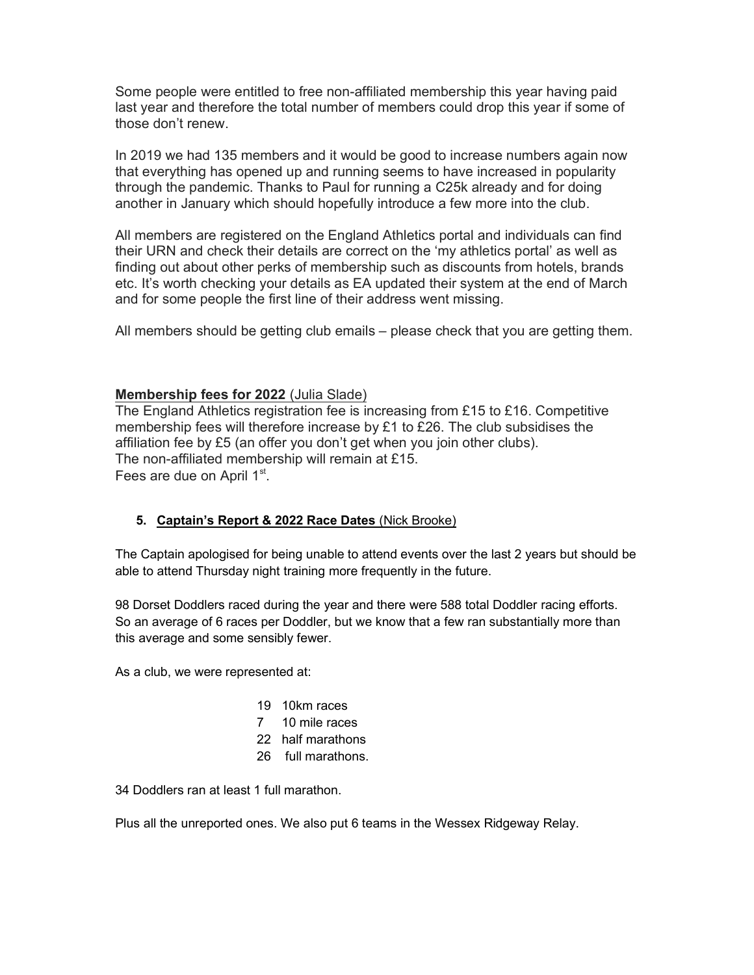Some people were entitled to free non-affiliated membership this year having paid last year and therefore the total number of members could drop this year if some of those don't renew.

In 2019 we had 135 members and it would be good to increase numbers again now that everything has opened up and running seems to have increased in popularity through the pandemic. Thanks to Paul for running a C25k already and for doing another in January which should hopefully introduce a few more into the club.

All members are registered on the England Athletics portal and individuals can find their URN and check their details are correct on the 'my athletics portal' as well as finding out about other perks of membership such as discounts from hotels, brands etc. It's worth checking your details as EA updated their system at the end of March and for some people the first line of their address went missing.

All members should be getting club emails – please check that you are getting them.

## Membership fees for 2022 (Julia Slade)

The England Athletics registration fee is increasing from £15 to £16. Competitive membership fees will therefore increase by £1 to £26. The club subsidises the affiliation fee by £5 (an offer you don't get when you join other clubs). The non-affiliated membership will remain at £15. Fees are due on April  $1<sup>st</sup>$ .

### 5. Captain's Report & 2022 Race Dates (Nick Brooke)

The Captain apologised for being unable to attend events over the last 2 years but should be able to attend Thursday night training more frequently in the future.

98 Dorset Doddlers raced during the year and there were 588 total Doddler racing efforts. So an average of 6 races per Doddler, but we know that a few ran substantially more than this average and some sensibly fewer.

As a club, we were represented at:

- 19 10km races
- 7 10 mile races
- 22 half marathons
- 26 full marathons.

34 Doddlers ran at least 1 full marathon.

Plus all the unreported ones. We also put 6 teams in the Wessex Ridgeway Relay.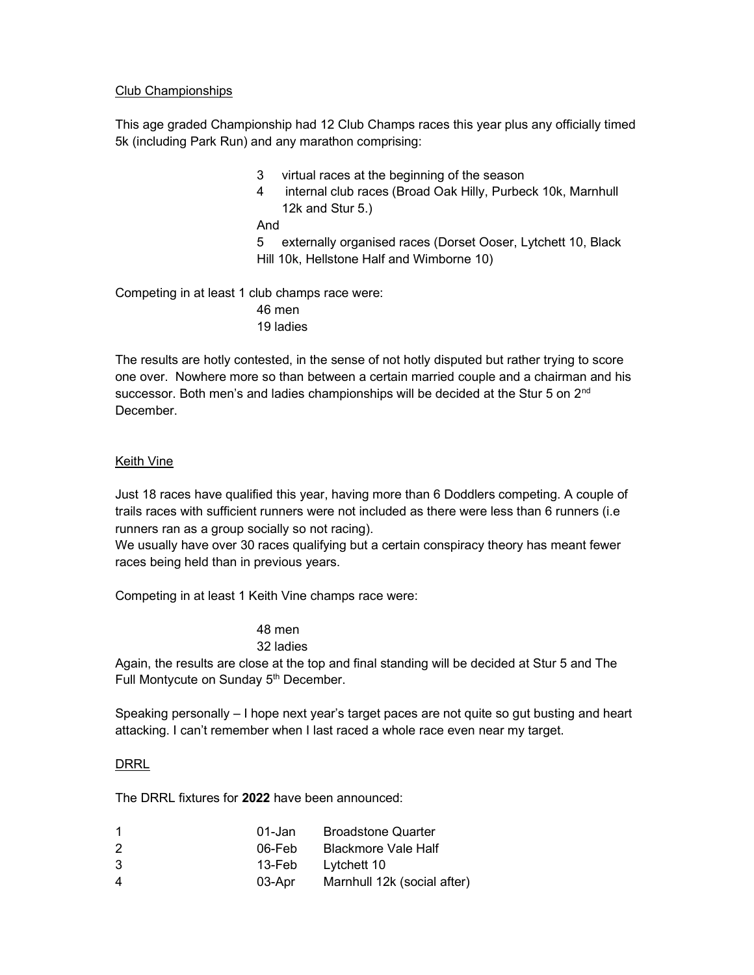### Club Championships

This age graded Championship had 12 Club Champs races this year plus any officially timed 5k (including Park Run) and any marathon comprising:

- 3 virtual races at the beginning of the season
- 4 internal club races (Broad Oak Hilly, Purbeck 10k, Marnhull 12k and Stur 5.)

And

5 externally organised races (Dorset Ooser, Lytchett 10, Black Hill 10k, Hellstone Half and Wimborne 10)

Competing in at least 1 club champs race were: 46 men

19 ladies

The results are hotly contested, in the sense of not hotly disputed but rather trying to score one over. Nowhere more so than between a certain married couple and a chairman and his successor. Both men's and ladies championships will be decided at the Stur 5 on 2<sup>nd</sup> December.

### Keith Vine

Just 18 races have qualified this year, having more than 6 Doddlers competing. A couple of trails races with sufficient runners were not included as there were less than 6 runners (i.e runners ran as a group socially so not racing).

We usually have over 30 races qualifying but a certain conspiracy theory has meant fewer races being held than in previous years.

Competing in at least 1 Keith Vine champs race were:

#### 48 men 32 ladies

Again, the results are close at the top and final standing will be decided at Stur 5 and The Full Montycute on Sunday 5<sup>th</sup> December.

Speaking personally – I hope next year's target paces are not quite so gut busting and heart attacking. I can't remember when I last raced a whole race even near my target.

### DRRL

The DRRL fixtures for 2022 have been announced:

| 01-Jan | <b>Broadstone Quarter</b>   |
|--------|-----------------------------|
| 06-Feb | <b>Blackmore Vale Half</b>  |
| 13-Feb | Lytchett 10                 |
| 03-Apr | Marnhull 12k (social after) |
|        |                             |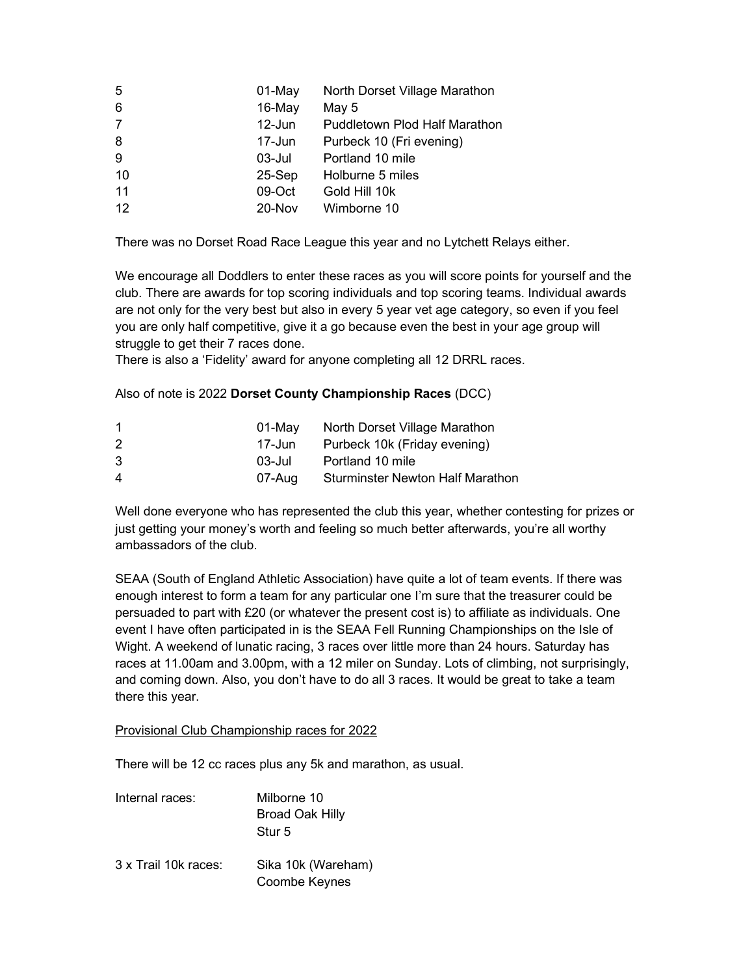| 5              | 01-May    | North Dorset Village Marathon        |
|----------------|-----------|--------------------------------------|
| 6              | $16$ -May | May 5                                |
| $\overline{7}$ | 12-Jun    | <b>Puddletown Plod Half Marathon</b> |
| 8              | 17-Jun    | Purbeck 10 (Fri evening)             |
| 9              | $03$ -Jul | Portland 10 mile                     |
| 10             | $25-Sep$  | Holburne 5 miles                     |
| 11             | 09-Oct    | Gold Hill 10k                        |
| 12             | 20-Nov    | Wimborne 10                          |

There was no Dorset Road Race League this year and no Lytchett Relays either.

We encourage all Doddlers to enter these races as you will score points for yourself and the club. There are awards for top scoring individuals and top scoring teams. Individual awards are not only for the very best but also in every 5 year vet age category, so even if you feel you are only half competitive, give it a go because even the best in your age group will struggle to get their 7 races done.

There is also a 'Fidelity' award for anyone completing all 12 DRRL races.

## Also of note is 2022 Dorset County Championship Races (DCC)

|   | 01-Mav | North Dorset Village Marathon           |
|---|--------|-----------------------------------------|
| 2 | 17-Jun | Purbeck 10k (Friday evening)            |
| 3 | 03-Jul | Portland 10 mile                        |
| 4 | 07-Aug | <b>Sturminster Newton Half Marathon</b> |

Well done everyone who has represented the club this year, whether contesting for prizes or just getting your money's worth and feeling so much better afterwards, you're all worthy ambassadors of the club.

SEAA (South of England Athletic Association) have quite a lot of team events. If there was enough interest to form a team for any particular one I'm sure that the treasurer could be persuaded to part with £20 (or whatever the present cost is) to affiliate as individuals. One event I have often participated in is the SEAA Fell Running Championships on the Isle of Wight. A weekend of lunatic racing, 3 races over little more than 24 hours. Saturday has races at 11.00am and 3.00pm, with a 12 miler on Sunday. Lots of climbing, not surprisingly, and coming down. Also, you don't have to do all 3 races. It would be great to take a team there this year.

Provisional Club Championship races for 2022

There will be 12 cc races plus any 5k and marathon, as usual.

| Internal races:      | Milborne 10<br>Broad Oak Hilly<br>Stur 5 |
|----------------------|------------------------------------------|
| 3 x Trail 10k races: | Sika 10k (Wareham)<br>Coombe Keynes      |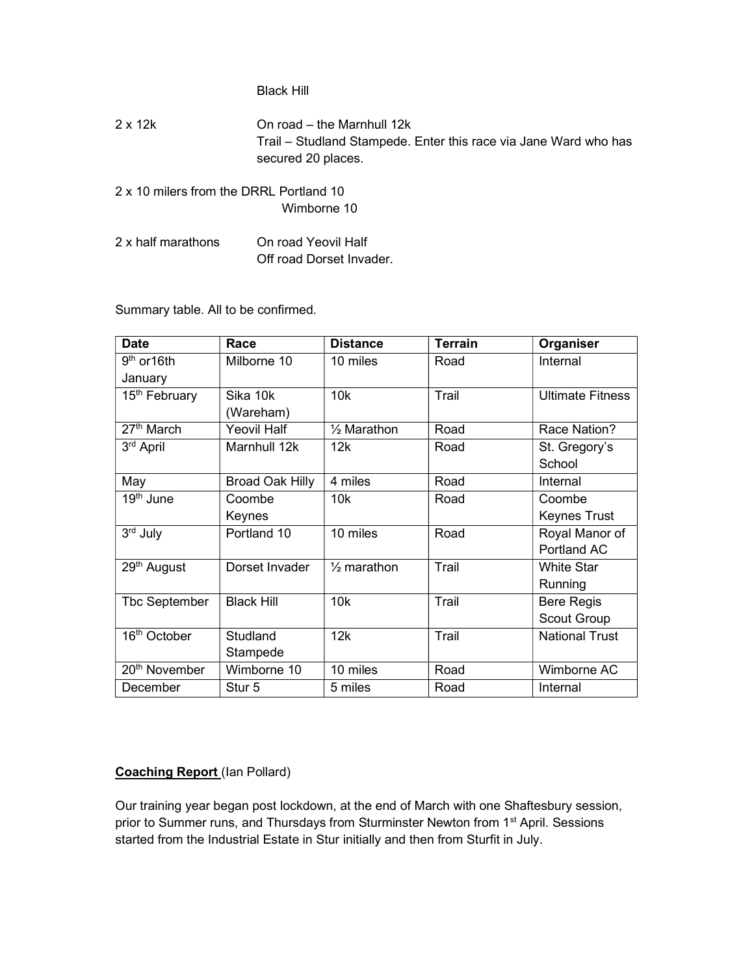#### Black Hill

- 2 x 12k On road the Marnhull 12k Trail – Studland Stampede. Enter this race via Jane Ward who has secured 20 places.
- 2 x 10 milers from the DRRL Portland 10 Wimborne 10
- 2 x half marathons On road Yeovil Half Off road Dorset Invader.

Summary table. All to be confirmed.

| <b>Date</b>               | Race                   | <b>Distance</b>        | <b>Terrain</b> | Organiser               |
|---------------------------|------------------------|------------------------|----------------|-------------------------|
| $9th$ or 16th             | Milborne 10            | 10 miles               | Road           | Internal                |
| January                   |                        |                        |                |                         |
| 15 <sup>th</sup> February | Sika 10k               | 10k                    | Trail          | <b>Ultimate Fitness</b> |
|                           | (Wareham)              |                        |                |                         |
| $27th$ March              | <b>Yeovil Half</b>     | $\frac{1}{2}$ Marathon | Road           | Race Nation?            |
| 3rd April                 | Marnhull 12k           | 12k                    | Road           | St. Gregory's           |
|                           |                        |                        |                | School                  |
| May                       | <b>Broad Oak Hilly</b> | 4 miles                | Road           | Internal                |
| 19 <sup>th</sup> June     | Coombe                 | 10k                    | Road           | Coombe                  |
|                           | Keynes                 |                        |                | Keynes Trust            |
| 3rd July                  | Portland 10            | 10 miles               | Road           | Royal Manor of          |
|                           |                        |                        |                | Portland AC             |
| 29 <sup>th</sup> August   | Dorset Invader         | $\frac{1}{2}$ marathon | Trail          | <b>White Star</b>       |
|                           |                        |                        |                | Running                 |
| Tbc September             | <b>Black Hill</b>      | 10k                    | Trail          | <b>Bere Regis</b>       |
|                           |                        |                        |                | Scout Group             |
| 16 <sup>th</sup> October  | Studland               | 12k                    | Trail          | <b>National Trust</b>   |
|                           | Stampede               |                        |                |                         |
| 20 <sup>th</sup> November | Wimborne 10            | 10 miles               | Road           | Wimborne AC             |
| December                  | Stur 5                 | 5 miles                | Road           | Internal                |

### Coaching Report (Ian Pollard)

Our training year began post lockdown, at the end of March with one Shaftesbury session, prior to Summer runs, and Thursdays from Sturminster Newton from 1<sup>st</sup> April. Sessions started from the Industrial Estate in Stur initially and then from Sturfit in July.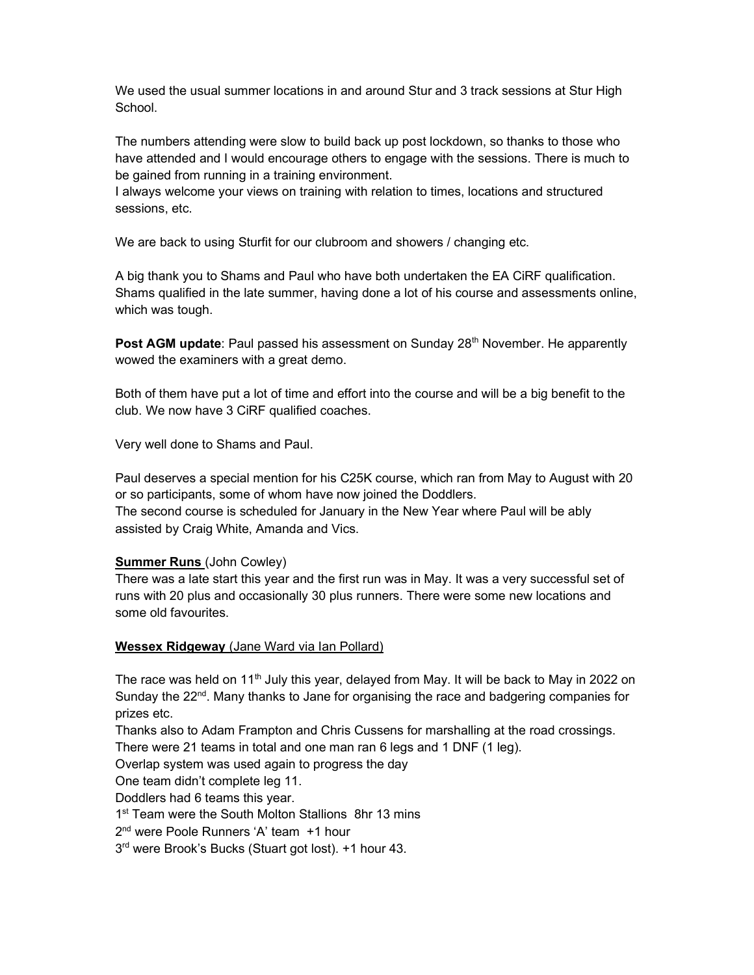We used the usual summer locations in and around Stur and 3 track sessions at Stur High **School**.

The numbers attending were slow to build back up post lockdown, so thanks to those who have attended and I would encourage others to engage with the sessions. There is much to be gained from running in a training environment.

I always welcome your views on training with relation to times, locations and structured sessions, etc.

We are back to using Sturfit for our clubroom and showers / changing etc.

A big thank you to Shams and Paul who have both undertaken the EA CiRF qualification. Shams qualified in the late summer, having done a lot of his course and assessments online, which was tough.

**Post AGM update:** Paul passed his assessment on Sunday  $28<sup>th</sup>$  November. He apparently wowed the examiners with a great demo.

Both of them have put a lot of time and effort into the course and will be a big benefit to the club. We now have 3 CiRF qualified coaches.

Very well done to Shams and Paul.

Paul deserves a special mention for his C25K course, which ran from May to August with 20 or so participants, some of whom have now joined the Doddlers. The second course is scheduled for January in the New Year where Paul will be ably assisted by Craig White, Amanda and Vics.

### Summer Runs (John Cowley)

There was a late start this year and the first run was in May. It was a very successful set of runs with 20 plus and occasionally 30 plus runners. There were some new locations and some old favourites.

### Wessex Ridgeway (Jane Ward via Ian Pollard)

The race was held on 11<sup>th</sup> July this year, delayed from May. It will be back to May in 2022 on Sunday the 22<sup>nd</sup>. Many thanks to Jane for organising the race and badgering companies for prizes etc.

Thanks also to Adam Frampton and Chris Cussens for marshalling at the road crossings. There were 21 teams in total and one man ran 6 legs and 1 DNF (1 leg).

Overlap system was used again to progress the day

One team didn't complete leg 11.

Doddlers had 6 teams this year.

1<sup>st</sup> Team were the South Molton Stallions 8hr 13 mins

2 nd were Poole Runners 'A' team +1 hour

3 rd were Brook's Bucks (Stuart got lost). +1 hour 43.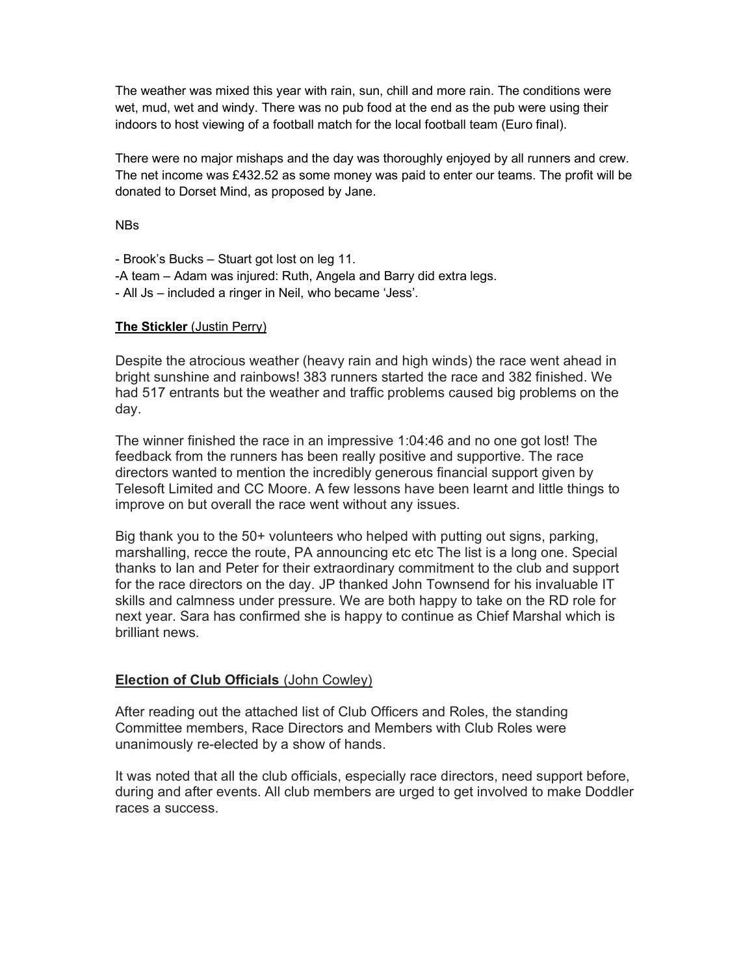The weather was mixed this year with rain, sun, chill and more rain. The conditions were wet, mud, wet and windy. There was no pub food at the end as the pub were using their indoors to host viewing of a football match for the local football team (Euro final).

There were no major mishaps and the day was thoroughly enjoyed by all runners and crew. The net income was £432.52 as some money was paid to enter our teams. The profit will be donated to Dorset Mind, as proposed by Jane.

NBs

- Brook's Bucks – Stuart got lost on leg 11. -A team – Adam was injured: Ruth, Angela and Barry did extra legs. - All Js – included a ringer in Neil, who became 'Jess'.

## The Stickler (Justin Perry)

Despite the atrocious weather (heavy rain and high winds) the race went ahead in bright sunshine and rainbows! 383 runners started the race and 382 finished. We had 517 entrants but the weather and traffic problems caused big problems on the day.

The winner finished the race in an impressive 1:04:46 and no one got lost! The feedback from the runners has been really positive and supportive. The race directors wanted to mention the incredibly generous financial support given by Telesoft Limited and CC Moore. A few lessons have been learnt and little things to improve on but overall the race went without any issues.

Big thank you to the 50+ volunteers who helped with putting out signs, parking, marshalling, recce the route, PA announcing etc etc The list is a long one. Special thanks to Ian and Peter for their extraordinary commitment to the club and support for the race directors on the day. JP thanked John Townsend for his invaluable IT skills and calmness under pressure. We are both happy to take on the RD role for next year. Sara has confirmed she is happy to continue as Chief Marshal which is brilliant news.

## Election of Club Officials (John Cowley)

After reading out the attached list of Club Officers and Roles, the standing Committee members, Race Directors and Members with Club Roles were unanimously re-elected by a show of hands.

It was noted that all the club officials, especially race directors, need support before, during and after events. All club members are urged to get involved to make Doddler races a success.